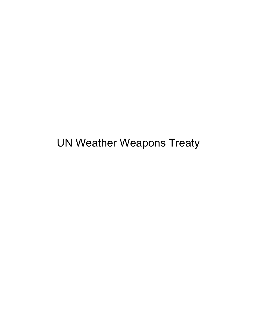UN Weather Weapons Treaty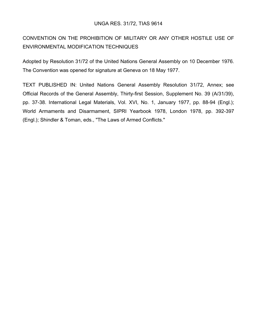# CONVENTION ON THE PROHIBITION OF MILITARY OR ANY OTHER HOSTILE USE OF ENVIRONMENTAL MODIFICATION TECHNIQUES

Adopted by Resolution 31/72 of the United Nations General Assembly on 10 December 1976. The Convention was opened for signature at Geneva on 18 May 1977.

TEXT PUBLISHED IN: United Nations General Assembly Resolution 31/72, Annex; see Official Records of the General Assembly, Thirty-first Session, Supplement No. 39 (A/31/39), pp. 37-38. International Legal Materials, Vol. XVI, No. 1, January 1977, pp. 88-94 (Engl.); World Armaments and Disarmament, SIPRI Yearbook 1978, London 1978, pp. 392-397 (Engl.); Shindler & Toman, eds., "The Laws of Armed Conflicts."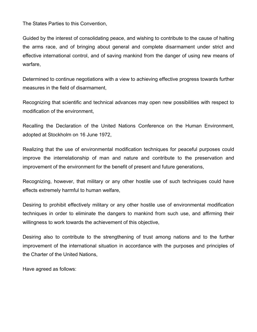The States Parties to this Convention,

Guided by the interest of consolidating peace, and wishing to contribute to the cause of halting the arms race, and of bringing about general and complete disarmament under strict and effective international control, and of saving mankind from the danger of using new means of warfare,

Determined to continue negotiations with a view to achieving effective progress towards further measures in the field of disarmament,

Recognizing that scientific and technical advances may open new possibilities with respect to modification of the environment,

Recalling the Declaration of the United Nations Conference on the Human Environment, adopted at Stockholm on 16 June 1972,

Realizing that the use of environmental modification techniques for peaceful purposes could improve the interrelationship of man and nature and contribute to the preservation and improvement of the environment for the benefit of present and future generations,

Recognizing, however, that military or any other hostile use of such techniques could have effects extremely harmful to human welfare,

Desiring to prohibit effectively military or any other hostile use of environmental modification techniques in order to eliminate the dangers to mankind from such use, and affirming their willingness to work towards the achievement of this objective,

Desiring also to contribute to the strengthening of trust among nations and to the further improvement of the international situation in accordance with the purposes and principles of the Charter of the United Nations,

Have agreed as follows: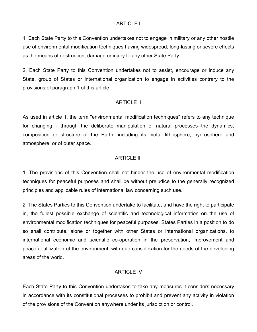## ARTICLE I

1. Each State Party to this Convention undertakes not to engage in military or any other hostile use of environmental modification techniques having widespread, long-lasting or severe effects as the means of destruction, damage or injury to any other State Party.

2. Each State Party to this Convention undertakes not to assist, encourage or induce any State, group of States or international organization to engage in activities contrary to the provisions of paragraph 1 of this article.

#### **ARTICLE II**

As used in article 1, the term "environmental modification techniques" refers to any technique for changing - through the deliberate manipulation of natural processes--the dynamics, composition or structure of the Earth, including its biota, lithosphere, hydrosphere and atmosphere, or of outer space.

#### ARTICLE III

1. The provisions of this Convention shall not hinder the use of environmental modification techniques for peaceful purposes and shall be without prejudice to the generally recognized principles and applicable rules of international law concerning such use.

2. The States Parties to this Convention undertake to facilitate, and have the right to participate in, the fullest possible exchange of scientific and technological information on the use of environmental modification techniques for peaceful purposes. States Parties in a position to do so shall contribute, alone or together with other States or international organizations, to international economic and scientific co-operation in the preservation, improvement and peaceful utilization of the environment, with due consideration for the needs of the developing areas of the world.

## ARTICLE IV

Each State Party to this Convention undertakes to take any measures it considers necessary in accordance with its constitutional processes to prohibit and prevent any activity in violation of the provisions of the Convention anywhere under its jurisdiction or control.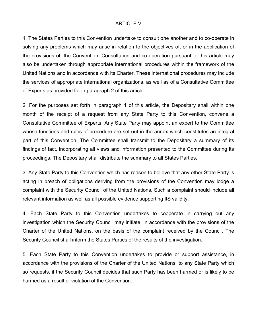## ARTICLE V

1. The States Parties to this Convention undertake to consult one another and to co-operate in solving any problems which may arise in relation to the objectives of, or in the application of the provisions of, the Convention. Consultation and co-operation pursuant to this article may also be undertaken through appropriate international procedures within the framework of the United Nations and in accordance with its Charter. These international procedures may include the services of appropriate international organizations, as well as of a Consultative Committee of Experts as provided for in paragraph 2 of this article.

2. For the purposes set forth in paragraph 1 of this article, the Depositary shall within one month of the receipt of a request from any State Party to this Convention, convene a Consultative Committee of Experts. Any State Party may appoint an expert to the Committee whose functions and rules of procedure are set out in the annex which constitutes an integral part of this Convention. The Committee shall transmit to the Depositary a summary of its findings of fact, incorporating all views and information presented to the Committee during its proceedings. The Depositary shall distribute the summary to all States Parties.

3. Any State Party to this Convention which has reason to believe that any other State Party is acting in breach of obligations deriving from the provisions of the Convention may lodge a complaint with the Security Council of the United Nations. Such a complaint should include all relevant information as well as all possible evidence supporting ItS validity.

4. Each State Party to this Convention undertakes to cooperate in carrying out any investigation which the Security Council may initiate, in accordance with the provisions of the Charter of the United Nations, on the basis of the complaint received by the Council. The Security Council shall inform the States Parties of the results of the investigation.

5. Each State Party to this Convention undertakes to provide or support assistance, in accordance with the provisions of the Charter of the United Nations, to any State Party which so requests, if the Security Council decides that such Party has been harmed or is likely to be harmed as a result of violation of the Convention.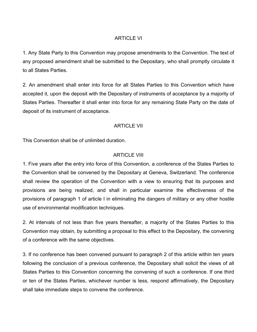# ARTICLE VI

1. Any State Party to this Convention may propose amendments to the Convention. The text of any proposed amendment shall be submitted to the Depositary, who shall promptly circulate it to all States Parties.

2. An amendment shall enter into force for all States Parties to this Convention which have accepted it, upon the deposit with the Depositary of instruments of acceptance by a majority of States Parties. Thereafter it shall enter into force for any remaining State Party on the date of deposit of its instrument of acceptance.

## ARTICLE VII

This Convention shall be of unlimited duration.

# ARTICLE VIII

1. Five years after the entry into force of this Convention, a conference of the States Parties to the Convention shall be convened by the Depositary at Geneva, Switzerland. The conference shall review the operation of the Convention with a view to ensuring that its purposes and provisions are being realized, and shall in particular examine the effectiveness of the provisions of paragraph 1 of article I in eliminating the dangers of military or any other hostile use of environmental modification techniques.

2. At intervals of not less than five years thereafter, a majority of the States Parties to this Convention may obtain, by submitting a proposal to this effect to the Depositary, the convening of a conference with the same objectives.

3. If no conference has been convened pursuant to paragraph 2 of this article within ten years following the conclusion of a previous conference, the Depositary shall solicit the views of all States Parties to this Convention concerning the convening of such a conference. If one third or ten of the States Parties, whichever number is less, respond affirmatively, the Depositary shall take immediate steps to convene the conference.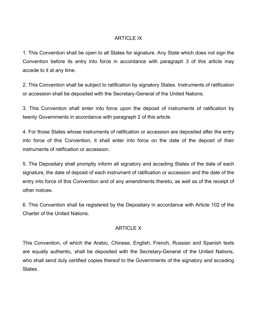# ARTICLE IX

1. This Convention shall be open to all States for signature. Any State which does not sign the Convention before its entry into force in accordance with paragraph 3 of this article may accede to it at any time.

2. This Convention shall be subject to ratification by signatory States. Instruments of ratification or accession shall be deposited with the Secretary-General of the United Nations.

3. This Convention shall enter into force upon the deposit of instruments of ratification by twenty Governments in accordance with paragraph 2 of this article.

4. For those States whose instruments of ratification or accession are deposited after the entry into force of this Convention, it shall enter into force on the date of the deposit of their instruments of ratification or accession.

5. The Depositary shall promptly inform all signatory and acceding States of the date of each signature, the date of deposit of each instrument of ratification or accession and the date of the entry into force of this Convention and of any amendments thereto, as well as of the receipt of other notices.

6. This Convention shall be registered by the Depositary in accordance with Article 102 of the Charter of the United Nations.

# ARTICLE X

This Convention, of which the Arabic, Chinese, English, French, Russian and Spanish texts are equally authentic, shall be deposited with the Secretary-General of the United Nations, who shall send duly certified copies thereof to the Governments of the signatory and acceding States.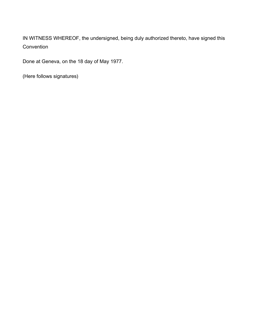IN WITNESS WHEREOF, the undersigned, being duly authorized thereto, have signed this Convention

Done at Geneva, on the 18 day of May 1977.

(Here follows signatures)